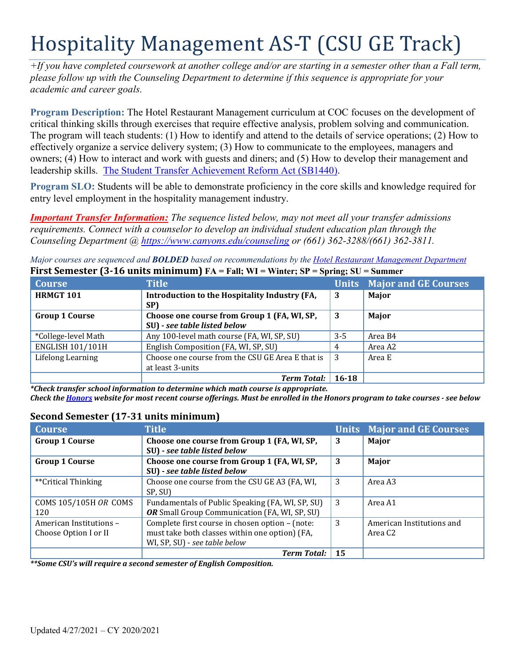# Hospitality Management AS-T (CSU GE Track)

*+If you have completed coursework at another college and/or are starting in a semester other than a Fall term, please follow up with the Counseling Department to determine if this sequence is appropriate for your academic and career goals.* 

 effectively organize a service delivery system; (3) How to communicate to the employees, managers and leadership skills. The Student Transfer Achievement Reform Act (SB1440). **Program Description:** The Hotel Restaurant Management curriculum at COC focuses on the development of critical thinking skills through exercises that require effective analysis, problem solving and communication. The program will teach students: (1) How to identify and attend to the details of service operations; (2) How to owners; (4) How to interact and work with guests and diners; and (5) How to develop their management and

**Program SLO:** Students will be able to demonstrate proficiency in the core skills and knowledge required for entry level employment in the hospitality management industry.

*Important Transfer Information: The sequence listed below, may not meet all your transfer admissions requirements. Connect with a counselor to develop an individual student education plan through the Counseling Department @<https://www.canyons.edu/counseling> or (661) 362-3288/(661) 362-3811.* 

 **First Semester (3-16 units minimum) FA = Fall; WI = Winter; SP = Spring; SU = Summer**  *Major courses are sequenced and BOLDED based on recommendations by the Hotel Restaurant Management Department* 

| <b>Course</b>           | <b>Title</b>                                                                | $\sim$    | <b>Units Major and GE Courses</b> |
|-------------------------|-----------------------------------------------------------------------------|-----------|-----------------------------------|
| <b>HRMGT 101</b>        | Introduction to the Hospitality Industry (FA,<br>SP)                        | 3         | Major                             |
| <b>Group 1 Course</b>   | Choose one course from Group 1 (FA, WI, SP,<br>SU) - see table listed below | 3         | Major                             |
| *College-level Math     | Any 100-level math course (FA, WI, SP, SU)                                  | $3 - 5$   | Area B4                           |
| <b>ENGLISH 101/101H</b> | English Composition (FA, WI, SP, SU)                                        | 4         | Area A2                           |
| Lifelong Learning       | Choose one course from the CSU GE Area E that is<br>at least 3-units        | -3        | Area E                            |
|                         | <b>Term Total:</b>                                                          | $16 - 18$ |                                   |

\*Check transfer school information to determine which math course is appropriate. \*Check transfer school information to determine which math course is appropriate.<br>Check the <u>Honors</u> website for most recent course offerings. Must be enrolled in the Honors program to take courses - see below

## **Second Semester (17-31 units minimum)**

| <b>Course</b>           | <b>Title</b>                                     |    | <b>Units Major and GE Courses</b> |
|-------------------------|--------------------------------------------------|----|-----------------------------------|
| <b>Group 1 Course</b>   | Choose one course from Group 1 (FA, WI, SP,      | 3  | <b>Major</b>                      |
|                         | SU) - see table listed below                     |    |                                   |
| <b>Group 1 Course</b>   | Choose one course from Group 1 (FA, WI, SP,      | 3  | Major                             |
|                         | SU) - see table listed below                     |    |                                   |
| **Critical Thinking     | Choose one course from the CSU GE A3 (FA, WI,    | 3  | Area A3                           |
|                         | SP, SU)                                          |    |                                   |
| COMS 105/105H OR COMS   | Fundamentals of Public Speaking (FA, WI, SP, SU) | 3  | Area A1                           |
| 120                     | OR Small Group Communication (FA, WI, SP, SU)    |    |                                   |
| American Institutions - | Complete first course in chosen option - (note:  | 3  | American Institutions and         |
| Choose Option I or II   | must take both classes within one option) (FA,   |    | Area C2                           |
|                         | WI, SP, SU) - see table below                    |    |                                   |
|                         | <b>Term Total:</b>                               | 15 |                                   |

*\*\*Some CSU's will require a second semester of English Composition.*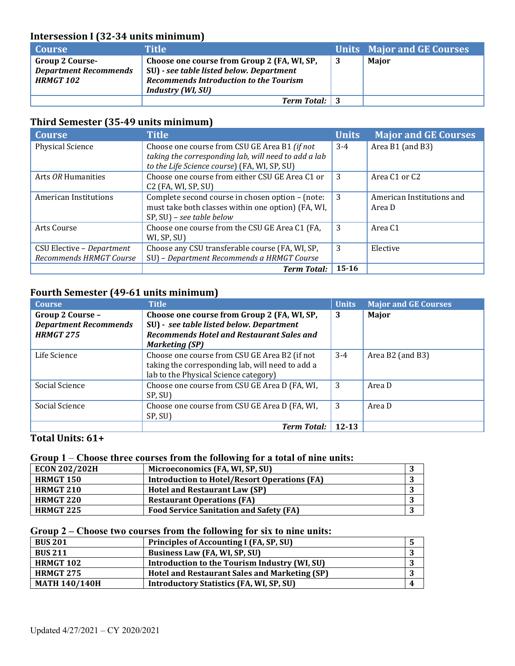## **Intersession I (32-34 units minimum)**

| <b>Course</b>                                                              | Title                                                                                                                                                                |    | Units Major and GE Courses |
|----------------------------------------------------------------------------|----------------------------------------------------------------------------------------------------------------------------------------------------------------------|----|----------------------------|
| <b>Group 2 Course-</b><br><b>Department Recommends</b><br><b>HRMGT 102</b> | Choose one course from Group 2 (FA, WI, SP,<br>SU) - see table listed below. Department<br><b>Recommends Introduction to the Tourism</b><br><b>Industry (WI, SU)</b> | -3 | Major                      |
|                                                                            | <b>Term Total:</b> 3                                                                                                                                                 |    |                            |

### **Third Semester (35-49 units minimum)**

| <b>Course</b>             | <b>Title</b>                                                                                         | <b>Units</b> | <b>Major and GE Courses</b> |
|---------------------------|------------------------------------------------------------------------------------------------------|--------------|-----------------------------|
| <b>Physical Science</b>   | Choose one course from CSU GE Area B1 (if not                                                        | $3-4$        | Area B1 (and B3)            |
|                           | taking the corresponding lab, will need to add a lab<br>to the Life Science course) (FA, WI, SP, SU) |              |                             |
| Arts OR Humanities        | Choose one course from either CSU GE Area C1 or<br>$C2$ (FA, WI, SP, SU)                             | 3            | Area C1 or C2               |
| American Institutions     | Complete second course in chosen option - (note:                                                     | 3            | American Institutions and   |
|                           | must take both classes within one option) (FA, WI,<br>SP, SU) - see table below                      |              | Area D                      |
| Arts Course               | Choose one course from the CSU GE Area C1 (FA,<br>WI, SP, SU)                                        | 3            | Area C1                     |
| CSU Elective - Department | Choose any CSU transferable course (FA, WI, SP,                                                      | 3            | Elective                    |
| Recommends HRMGT Course   | SU) - Department Recommends a HRMGT Course                                                           |              |                             |
|                           | <b>Term Total:</b>                                                                                   | $15 - 16$    |                             |

## **Fourth Semester (49-61 units minimum)**

| <b>Course</b>                | <b>Title</b>                                     | <b>Units</b> | <b>Major and GE Courses</b> |
|------------------------------|--------------------------------------------------|--------------|-----------------------------|
| Group 2 Course -             | Choose one course from Group 2 (FA, WI, SP,      | 3            | Major                       |
| <b>Department Recommends</b> | SU) - see table listed below. Department         |              |                             |
| <b>HRMGT 275</b>             | <b>Recommends Hotel and Restaurant Sales and</b> |              |                             |
|                              | <b>Marketing (SP)</b>                            |              |                             |
| Life Science                 | Choose one course from CSU GE Area B2 (if not    | $3-4$        | Area B2 (and B3)            |
|                              | taking the corresponding lab, will need to add a |              |                             |
|                              | lab to the Physical Science category)            |              |                             |
| Social Science               | Choose one course from CSU GE Area D (FA, WI,    | 3            | Area D                      |
|                              | SP, SU)                                          |              |                             |
| Social Science               | Choose one course from CSU GE Area D (FA, WI,    | 3            | Area D                      |
|                              | SP, SU)                                          |              |                             |
|                              | <b>Term Total:</b>                               | 12-13        |                             |

## **Total Units: 61+**

#### **Group 1** – **Choose three courses from the following for a total of nine units:**

| <b>ECON 202/202H</b> | Microeconomics (FA, WI, SP, SU)                     |  |
|----------------------|-----------------------------------------------------|--|
| <b>HRMGT 150</b>     | <b>Introduction to Hotel/Resort Operations (FA)</b> |  |
| <b>HRMGT 210</b>     | <b>Hotel and Restaurant Law (SP)</b>                |  |
| <b>HRMGT 220</b>     | <b>Restaurant Operations (FA)</b>                   |  |
| <b>HRMGT 225</b>     | <b>Food Service Sanitation and Safety (FA)</b>      |  |

#### **Group 2 – Choose two courses from the following for six to nine units:**

| <b>BUS 201</b>       | Principles of Accounting I (FA, SP, SU)         |  |
|----------------------|-------------------------------------------------|--|
| <b>BUS 211</b>       | Business Law (FA, WI, SP, SU)                   |  |
| <b>HRMGT 102</b>     | Introduction to the Tourism Industry (WI, SU)   |  |
| <b>HRMGT 275</b>     | Hotel and Restaurant Sales and Marketing (SP)   |  |
| <b>MATH 140/140H</b> | <b>Introductory Statistics (FA, WI, SP, SU)</b> |  |